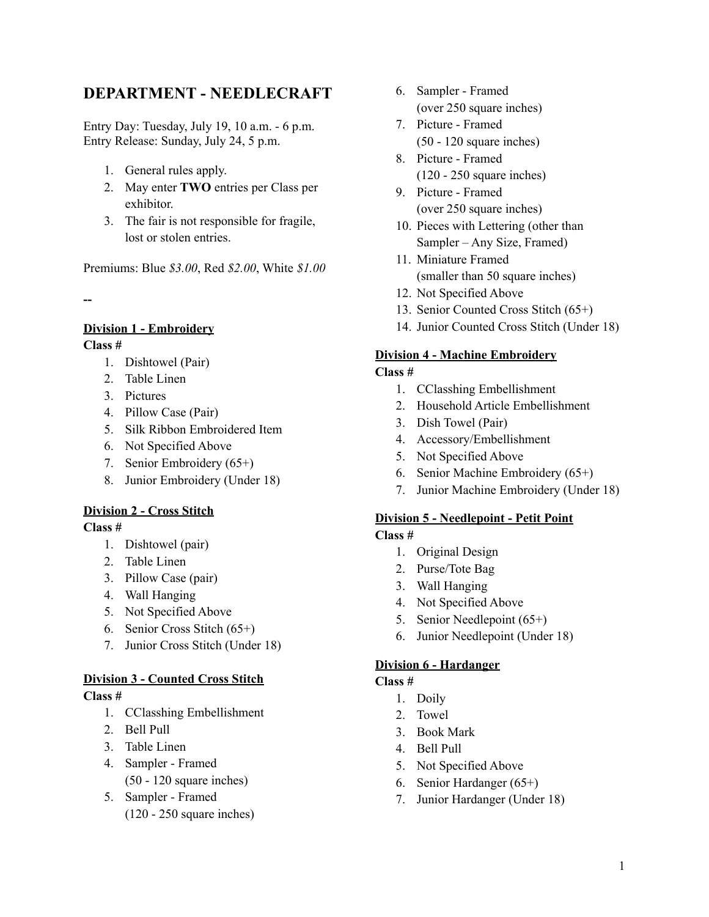# **DEPARTMENT - NEEDLECRAFT**

Entry Day: Tuesday, July 19, 10 a.m. - 6 p.m. Entry Release: Sunday, July 24, 5 p.m.

- 1. General rules apply.
- 2. May enter **TWO** entries per Class per exhibitor.
- 3. The fair is not responsible for fragile, lost or stolen entries.

Premiums: Blue *\$3.00*, Red *\$2.00*, White *\$1.00*

**--**

# **Division 1 - Embroidery**

**Class #**

- 1. Dishtowel (Pair)
- 2. Table Linen
- 3. Pictures
- 4. Pillow Case (Pair)
- 5. Silk Ribbon Embroidered Item
- 6. Not Specified Above
- 7. Senior Embroidery (65+)
- 8. Junior Embroidery (Under 18)

# **Division 2 - Cross Stitch**

**Class #**

- 1. Dishtowel (pair)
- 2. Table Linen
- 3. Pillow Case (pair)
- 4. Wall Hanging
- 5. Not Specified Above
- 6. Senior Cross Stitch (65+)
- 7. Junior Cross Stitch (Under 18)

# **Division 3 - Counted Cross Stitch**

#### **Class #**

- 1. CClasshing Embellishment
- 2. Bell Pull
- 3. Table Linen
- 4. Sampler Framed (50 - 120 square inches)
- 5. Sampler Framed (120 - 250 square inches)
- 6. Sampler Framed (over 250 square inches)
- 7. Picture Framed (50 - 120 square inches)
- 8. Picture Framed (120 - 250 square inches)
- 9. Picture Framed (over 250 square inches)
- 10. Pieces with Lettering (other than Sampler – Any Size, Framed)
- 11. Miniature Framed (smaller than 50 square inches)
- 12. Not Specified Above
- 13. Senior Counted Cross Stitch (65+)
- 14. Junior Counted Cross Stitch (Under 18)

### **Division 4 - Machine Embroidery**

#### **Class #**

- 1. CClasshing Embellishment
- 2. Household Article Embellishment
- 3. Dish Towel (Pair)
- 4. Accessory/Embellishment
- 5. Not Specified Above
- 6. Senior Machine Embroidery (65+)
- 7. Junior Machine Embroidery (Under 18)

# **Division 5 - Needlepoint - Petit Point**

# **Class #**

- 1. Original Design
- 2. Purse/Tote Bag
- 3. Wall Hanging
- 4. Not Specified Above
- 5. Senior Needlepoint (65+)
- 6. Junior Needlepoint (Under 18)

#### **Division 6 - Hardanger**

#### **Class #**

- 1. Doily
- 2. Towel
- 3. Book Mark
- 4. Bell Pull
- 5. Not Specified Above
- 6. Senior Hardanger (65+)
- 7. Junior Hardanger (Under 18)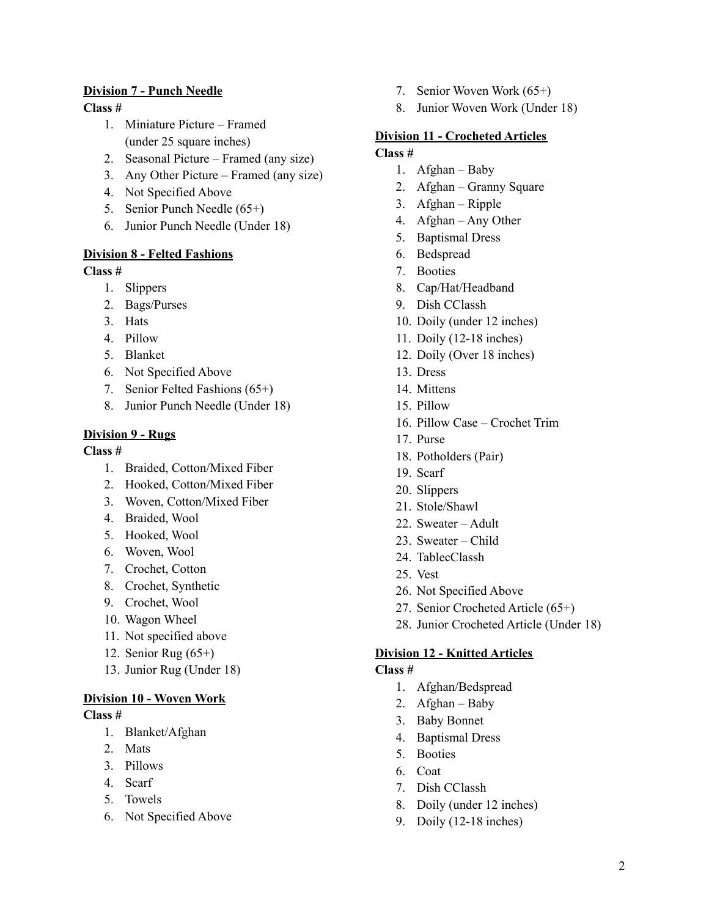### **Division 7 - Punch Needle**

#### **Class #**

- 1. Miniature Picture Framed (under 25 square inches)
- 2. Seasonal Picture Framed (any size)
- 3. Any Other Picture Framed (any size)
- 4. Not Specified Above
- 5. Senior Punch Needle (65+)
- 6. Junior Punch Needle (Under 18)

### **Division 8 - Felted Fashions**

#### **Class #**

- 1. Slippers
- 2. Bags/Purses
- 3. Hats
- 4. Pillow
- 5. Blanket
- 6. Not Specified Above
- 7. Senior Felted Fashions (65+)
- 8. Junior Punch Needle (Under 18)

### **Division 9 - Rugs**

#### **Class #**

- 1. Braided, Cotton/Mixed Fiber
- 2. Hooked, Cotton/Mixed Fiber
- 3. Woven, Cotton/Mixed Fiber
- 4. Braided, Wool
- 5. Hooked, Wool
- 6. Woven, Wool
- 7. Crochet, Cotton
- 8. Crochet, Synthetic
- 9. Crochet, Wool
- 10. Wagon Wheel
- 11. Not specified above
- 12. Senior Rug (65+)
- 13. Junior Rug (Under 18)

# **Division 10 - Woven Work**

#### **Class #**

- 1. Blanket/Afghan
- 2. Mats
- 3. Pillows
- 4. Scarf
- 5. Towels
- 6. Not Specified Above
- 7. Senior Woven Work (65+)
- 8. Junior Woven Work (Under 18)

#### **Division 11 - Crocheted Articles Class #**

- 1. Afghan Baby
- 2. Afghan Granny Square
- 3. Afghan Ripple
- 4. Afghan Any Other
- 5. Baptismal Dress
- 6. Bedspread
- 7. Booties
- 8. Cap/Hat/Headband
- 9. Dish CClassh
- 10. Doily (under 12 inches)
- 11. Doily (12-18 inches)
- 12. Doily (Over 18 inches)
- 13. Dress
- 14. Mittens
- 15. Pillow
- 16. Pillow Case Crochet Trim
- 17. Purse
- 18. Potholders (Pair)
- 19. Scarf
- 20. Slippers
- 21. Stole/Shawl
- 22. Sweater Adult
- 23. Sweater Child
- 24. TablecClassh
- 25. Vest
- 26. Not Specified Above
- 27. Senior Crocheted Article (65+)
- 28. Junior Crocheted Article (Under 18)

#### **Division 12 - Knitted Articles**

#### **Class #**

- 1. Afghan/Bedspread
- 2. Afghan Baby
- 3. Baby Bonnet
- 4. Baptismal Dress
- 5. Booties
- 6. Coat
- 7. Dish CClassh
- 8. Doily (under 12 inches)
- 9. Doily (12-18 inches)